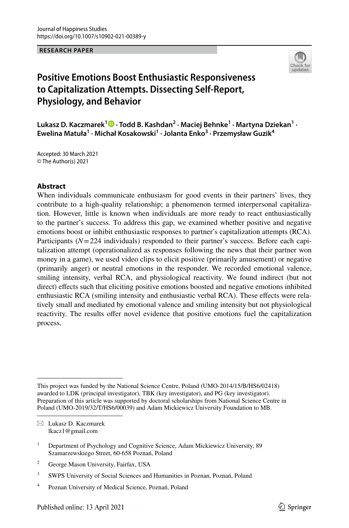**RESEARCH PAPER**



# **Positive Emotions Boost Enthusiastic Responsiveness to Capitalization Attempts. Dissecting Self‑Report, Physiology, and Behavior**

**Lukasz D. Kaczmarek1 · Todd B. Kashdan2 · Maciej Behnke1 · Martyna Dziekan<sup>1</sup> · Ewelina Matuła1 · Michał Kosakowski<sup>1</sup> · Jolanta Enko<sup>3</sup> · Przemysław Guzik4**

Accepted: 30 March 2021 © The Author(s) 2021

## **Abstract**

When individuals communicate enthusiasm for good events in their partners' lives, they contribute to a high-quality relationship; a phenomenon termed interpersonal capitalization. However, little is known when individuals are more ready to react enthusiastically to the partner's success. To address this gap, we examined whether positive and negative emotions boost or inhibit enthusiastic responses to partner's capitalization attempts (RCA). Participants (*N*=224 individuals) responded to their partner's success. Before each capitalization attempt (operationalized as responses following the news that their partner won money in a game), we used video clips to elicit positive (primarily amusement) or negative (primarily anger) or neutral emotions in the responder. We recorded emotional valence, smiling intensity, verbal RCA, and physiological reactivity. We found indirect (but not direct) effects such that eliciting positive emotions boosted and negative emotions inhibited enthusiastic RCA (smiling intensity and enthusiastic verbal RCA). These efects were relatively small and mediated by emotional valence and smiling intensity but not physiological reactivity. The results offer novel evidence that positive emotions fuel the capitalization process.

 $\boxtimes$  Lukasz D. Kaczmarek lkacz1@gmail.com

- <sup>2</sup> George Mason University, Fairfax, USA
- <sup>3</sup> SWPS University of Social Sciences and Humanities in Poznan, Poznań, Poland
- <sup>4</sup> Poznan University of Medical Science, Poznań, Poland

This project was funded by the National Science Centre, Poland (UMO-2014/15/B/HS6/02418) awarded to LDK (principal investigator), TBK (key investigator), and PG (key investigator). Preparation of this article was supported by doctoral scholarships from National Science Centre in Poland (UMO-2019/32/T/HS6/00039) and Adam Mickiewicz University Foundation to MB.

<sup>&</sup>lt;sup>1</sup> Department of Psychology and Cognitive Science, Adam Mickiewicz University, 89 Szamarzewskiego Street, 60-658 Poznań, Poland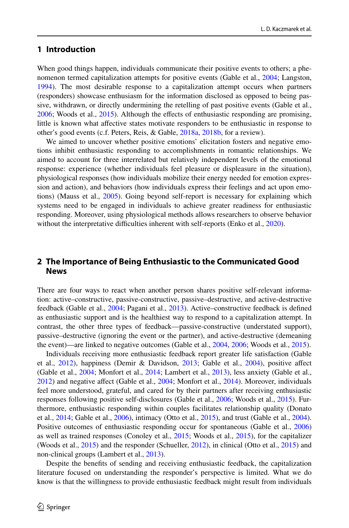# **1 Introduction**

When good things happen, individuals communicate their positive events to others; a phe-nomenon termed capitalization attempts for positive events (Gable et al., [2004](#page-16-0); Langston, [1994\)](#page-17-0). The most desirable response to a capitalization attempt occurs when partners (responders) showcase enthusiasm for the information disclosed as opposed to being passive, withdrawn, or directly undermining the retelling of past positive events (Gable et al., [2006;](#page-16-1) Woods et al., [2015\)](#page-18-0). Although the efects of enthusiastic responding are promising, little is known what afective states motivate responders to be enthusiastic in response to other's good events (c.f. Peters, Reis, & Gable, [2018a,](#page-17-1) [2018b](#page-17-2), for a review).

We aimed to uncover whether positive emotions' elicitation fosters and negative emotions inhibit enthusiastic responding to accomplishments in romantic relationships. We aimed to account for three interrelated but relatively independent levels of the emotional response: experience (whether individuals feel pleasure or displeasure in the situation), physiological responses (how individuals mobilize their energy needed for emotion expression and action), and behaviors (how individuals express their feelings and act upon emotions) (Mauss et al., [2005\)](#page-17-3). Going beyond self-report is necessary for explaining which systems need to be engaged in individuals to achieve greater readiness for enthusiastic responding. Moreover, using physiological methods allows researchers to observe behavior without the interpretative difficulties inherent with self-reports (Enko et al., [2020](#page-15-0)).

# **2 The Importance of Being Enthusiastic to the Communicated Good News**

There are four ways to react when another person shares positive self-relevant information: active–constructive, passive-constructive, passive–destructive, and active-destructive feedback (Gable et al., [2004;](#page-16-0) Pagani et al., [2013\)](#page-17-4). Active–constructive feedback is defned as enthusiastic support and is the healthiest way to respond to a capitalization attempt. In contrast, the other three types of feedback—passive-constructive (understated support), passive–destructive (ignoring the event or the partner), and active-destructive (demeaning the event)—are linked to negative outcomes (Gable et al., [2004,](#page-16-0) [2006](#page-16-1); Woods et al., [2015](#page-18-0)).

Individuals receiving more enthusiastic feedback report greater life satisfaction (Gable et al., [2012](#page-16-2)), happiness (Demir & Davidson, [2013;](#page-15-1) Gable et al., [2004\)](#page-16-0), positive afect (Gable et al., [2004;](#page-16-0) Monfort et al., [2014](#page-17-5); Lambert et al., [2013](#page-17-6)), less anxiety (Gable et al., [2012\)](#page-16-2) and negative afect (Gable et al., [2004;](#page-16-0) Monfort et al., [2014](#page-17-5)). Moreover, individuals feel more understood, grateful, and cared for by their partners after receiving enthusiastic responses following positive self-disclosures (Gable et al., [2006](#page-16-1); Woods et al., [2015](#page-18-0)). Furthermore, enthusiastic responding within couples facilitates relationship quality (Donato et al.,  $2014$ ; Gable et al.,  $2006$ ), intimacy (Otto et al.,  $2015$ ), and trust (Gable et al.,  $2004$ ). Positive outcomes of enthusiastic responding occur for spontaneous (Gable et al., [2006](#page-16-1)) as well as trained responses (Conoley et al., [2015](#page-15-3); Woods et al., [2015](#page-18-0)), for the capitalizer (Woods et al., [2015](#page-18-0)) and the responder (Schueller, [2012\)](#page-18-1), in clinical (Otto et al., [2015](#page-17-7)) and non-clinical groups (Lambert et al., [2013\)](#page-17-6).

Despite the benefts of sending and receiving enthusiastic feedback, the capitalization literature focused on understanding the responder's perspective is limited. What we do know is that the willingness to provide enthusiastic feedback might result from individuals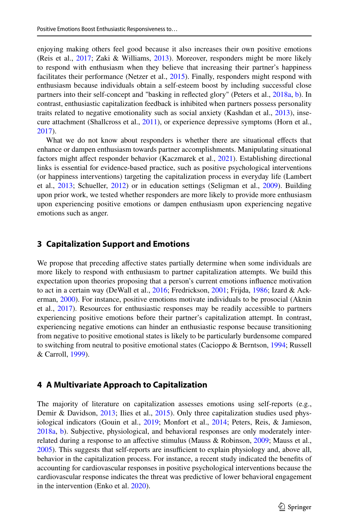enjoying making others feel good because it also increases their own positive emotions (Reis et al., [2017;](#page-17-8) Zaki & Williams, [2013](#page-18-2)). Moreover, responders might be more likely to respond with enthusiasm when they believe that increasing their partner's happiness facilitates their performance (Netzer et al., [2015](#page-17-9)). Finally, responders might respond with enthusiasm because individuals obtain a self-esteem boost by including successful close partners into their self-concept and "basking in refected glory" (Peters et al., [2018a,](#page-17-1) [b\)](#page-17-2). In contrast, enthusiastic capitalization feedback is inhibited when partners possess personality traits related to negative emotionality such as social anxiety (Kashdan et al., [2013](#page-16-3)), insecure attachment (Shallcross et al., [2011](#page-18-3)), or experience depressive symptoms (Horn et al., [2017\)](#page-16-4).

What we do not know about responders is whether there are situational efects that enhance or dampen enthusiasm towards partner accomplishments. Manipulating situational factors might afect responder behavior (Kaczmarek et al., [2021\)](#page-16-5). Establishing directional links is essential for evidence-based practice, such as positive psychological interventions (or happiness interventions) targeting the capitalization process in everyday life (Lambert et al., [2013;](#page-17-6) Schueller, [2012\)](#page-18-1) or in education settings (Seligman et al., [2009](#page-18-4)). Building upon prior work, we tested whether responders are more likely to provide more enthusiasm upon experiencing positive emotions or dampen enthusiasm upon experiencing negative emotions such as anger.

# **3 Capitalization Support and Emotions**

We propose that preceding affective states partially determine when some individuals are more likely to respond with enthusiasm to partner capitalization attempts. We build this expectation upon theories proposing that a person's current emotions infuence motivation to act in a certain way (DeWall et al., [2016;](#page-15-4) Fredrickson, [2001](#page-16-6); Frijda, [1986](#page-16-7); Izard & Ackerman, [2000\)](#page-16-8). For instance, positive emotions motivate individuals to be prosocial (Aknin et al., [2017](#page-15-5)). Resources for enthusiastic responses may be readily accessible to partners experiencing positive emotions before their partner's capitalization attempt. In contrast, experiencing negative emotions can hinder an enthusiastic response because transitioning from negative to positive emotional states is likely to be particularly burdensome compared to switching from neutral to positive emotional states (Cacioppo & Berntson, [1994;](#page-15-6) Russell & Carroll, [1999](#page-17-10)).

# **4 A Multivariate Approach to Capitalization**

The majority of literature on capitalization assesses emotions using self-reports (e.g., Demir & Davidson, [2013](#page-15-1); Ilies et al., [2015](#page-16-9)). Only three capitalization studies used phys-iological indicators (Gouin et al., [2019;](#page-16-10) Monfort et al., [2014;](#page-17-5) Peters, Reis, & Jamieson, [2018a,](#page-17-1) [b](#page-17-2)). Subjective, physiological, and behavioral responses are only moderately interrelated during a response to an afective stimulus (Mauss & Robinson, [2009;](#page-17-11) Mauss et al.,  $2005$ ). This suggests that self-reports are insufficient to explain physiology and, above all, behavior in the capitalization process. For instance, a recent study indicated the benefts of accounting for cardiovascular responses in positive psychological interventions because the cardiovascular response indicates the threat was predictive of lower behavioral engagement in the intervention (Enko et al. [2020\)](#page-15-0).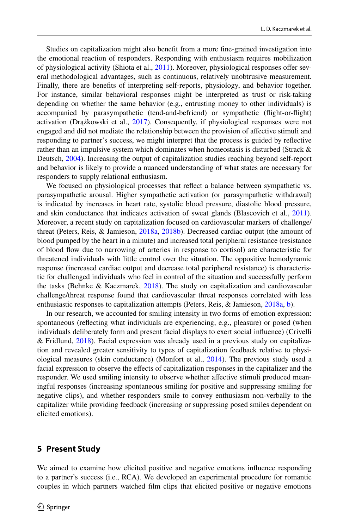Studies on capitalization might also beneft from a more fne-grained investigation into the emotional reaction of responders. Responding with enthusiasm requires mobilization of physiological activity (Shiota et al., [2011](#page-18-5)). Moreover, physiological responses offer several methodological advantages, such as continuous, relatively unobtrusive measurement. Finally, there are benefts of interpreting self-reports, physiology, and behavior together. For instance, similar behavioral responses might be interpreted as trust or risk-taking depending on whether the same behavior (e.g., entrusting money to other individuals) is accompanied by parasympathetic (tend-and-befriend) or sympathetic (fight-or-fight) activation (Drążkowski et al., [2017\)](#page-15-7). Consequently, if physiological responses were not engaged and did not mediate the relationship between the provision of afective stimuli and responding to partner's success, we might interpret that the process is guided by refective rather than an impulsive system which dominates when homeostasis is disturbed (Strack & Deutsch, [2004\)](#page-18-6). Increasing the output of capitalization studies reaching beyond self-report and behavior is likely to provide a nuanced understanding of what states are necessary for responders to supply relational enthusiasm.

We focused on physiological processes that refect a balance between sympathetic vs. parasympathetic arousal. Higher sympathetic activation (or parasympathetic withdrawal) is indicated by increases in heart rate, systolic blood pressure, diastolic blood pressure, and skin conductance that indicates activation of sweat glands (Blascovich et al., [2011](#page-15-8)). Moreover, a recent study on capitalization focused on cardiovascular markers of challenge/ threat (Peters, Reis, & Jamieson, [2018a,](#page-17-1) [2018b\)](#page-17-2). Decreased cardiac output (the amount of blood pumped by the heart in a minute) and increased total peripheral resistance (resistance of blood fow due to narrowing of arteries in response to cortisol) are characteristic for threatened individuals with little control over the situation. The oppositive hemodynamic response (increased cardiac output and decrease total peripheral resistance) is characteristic for challenged individuals who feel in control of the situation and successfully perform the tasks (Behnke & Kaczmarek,  $2018$ ). The study on capitalization and cardiovascular challenge/threat response found that cardiovascular threat responses correlated with less enthusiastic responses to capitalization attempts (Peters, Reis, & Jamieson, [2018a,](#page-17-1) [b](#page-17-2)).

In our research, we accounted for smiling intensity in two forms of emotion expression: spontaneous (refecting what individuals are experiencing, e.g., pleasure) or posed (when individuals deliberately form and present facial displays to exert social infuence) (Crivelli & Fridlund, [2018\)](#page-15-10). Facial expression was already used in a previous study on capitalization and revealed greater sensitivity to types of capitalization feedback relative to physiological measures (skin conductance) (Monfort et al., [2014\)](#page-17-5). The previous study used a facial expression to observe the efects of capitalization responses in the capitalizer and the responder. We used smiling intensity to observe whether afective stimuli produced meaningful responses (increasing spontaneous smiling for positive and suppressing smiling for negative clips), and whether responders smile to convey enthusiasm non-verbally to the capitalizer while providing feedback (increasing or suppressing posed smiles dependent on elicited emotions).

## **5 Present Study**

We aimed to examine how elicited positive and negative emotions infuence responding to a partner's success (i.e., RCA). We developed an experimental procedure for romantic couples in which partners watched flm clips that elicited positive or negative emotions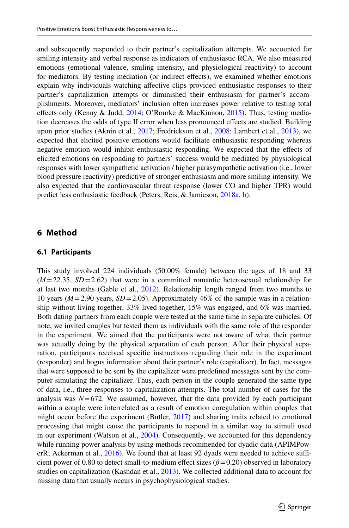and subsequently responded to their partner's capitalization attempts. We accounted for smiling intensity and verbal response as indicators of enthusiastic RCA. We also measured emotions (emotional valence, smiling intensity, and physiological reactivity) to account for mediators. By testing mediation (or indirect efects), we examined whether emotions explain why individuals watching afective clips provided enthusiastic responses to their partner's capitalization attempts or diminished their enthusiasm for partner's accomplishments. Moreover, mediators' inclusion often increases power relative to testing total effects only (Kenny & Judd, [2014](#page-16-11); O'Rourke & MacKinnon, [2015\)](#page-17-12). Thus, testing mediation decreases the odds of type II error when less pronounced efects are studied. Building upon prior studies (Aknin et al., [2017](#page-15-5); Fredrickson et al., [2008](#page-16-12); Lambert et al., [2013](#page-17-6)), we expected that elicited positive emotions would facilitate enthusiastic responding whereas negative emotion would inhibit enthusiastic responding. We expected that the efects of elicited emotions on responding to partners' success would be mediated by physiological responses with lower sympathetic activation / higher parasympathetic activation (i.e., lower blood pressure reactivity) predictive of stronger enthusiasm and more smiling intensity. We also expected that the cardiovascular threat response (lower CO and higher TPR) would predict less enthusiastic feedback (Peters, Reis, & Jamieson, [2018a,](#page-17-1) [b](#page-17-2)).

# **6 Method**

#### **6.1 Participants**

This study involved 224 individuals (50.00% female) between the ages of 18 and 33  $(M=22.35, SD=2.62)$  that were in a committed romantic heterosexual relationship for at last two months (Gable et al., [2012\)](#page-16-2). Relationship length ranged from two months to 10 years (*M*=2.90 years, *SD*=2.05). Approximately 46% of the sample was in a relationship without living together, 33% lived together, 15% was engaged, and 6% was married. Both dating partners from each couple were tested at the same time in separate cubicles. Of note, we invited couples but tested them as individuals with the same role of the responder in the experiment. We aimed that the participants were not aware of what their partner was actually doing by the physical separation of each person. After their physical separation, participants received specifc instructions regarding their role in the experiment (responder) and bogus information about their partner's role (capitalizer). In fact, messages that were supposed to be sent by the capitalizer were predefned messages sent by the computer simulating the capitalizer. Thus, each person in the couple generated the same type of data, i.e., three responses to capitalization attempts. The total number of cases for the analysis was  $N=672$ . We assumed, however, that the data provided by each participant within a couple were interrelated as a result of emotion coregulation within couples that might occur before the experiment (Butler, [2017\)](#page-15-11) and sharing traits related to emotional processing that might cause the participants to respond in a similar way to stimuli used in our experiment (Watson et al., [2004](#page-18-7)). Consequently, we accounted for this dependency while running power analysis by using methods recommended for dyadic data (APIMPow-erR; Ackerman et al., [2016](#page-15-12)). We found that at least 92 dyads were needed to achieve sufficient power of 0.80 to detect small-to-medium efect sizes (*β*=0.20) observed in laboratory studies on capitalization (Kashdan et al., [2013\)](#page-16-3). We collected additional data to account for missing data that usually occurs in psychophysiological studies.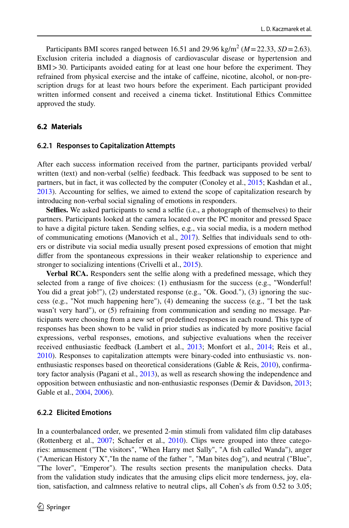Participants BMI scores ranged between  $16.51$  and  $29.96$  kg/m<sup>2</sup> ( $M = 22.33$ ,  $SD = 2.63$ ). Exclusion criteria included a diagnosis of cardiovascular disease or hypertension and BMI>30. Participants avoided eating for at least one hour before the experiment. They refrained from physical exercise and the intake of cafeine, nicotine, alcohol, or non-prescription drugs for at least two hours before the experiment. Each participant provided written informed consent and received a cinema ticket. Institutional Ethics Committee approved the study.

# **6.2 Materials**

#### **6.2.1 Responses to Capitalization Attempts**

After each success information received from the partner, participants provided verbal/ written (text) and non-verbal (selfe) feedback. This feedback was supposed to be sent to partners, but in fact, it was collected by the computer (Conoley et al., [2015](#page-15-3); Kashdan et al., [2013\)](#page-16-3). Accounting for selfes, we aimed to extend the scope of capitalization research by introducing non-verbal social signaling of emotions in responders.

**Selfes.** We asked participants to send a selfe (i.e., a photograph of themselves) to their partners. Participants looked at the camera located over the PC monitor and pressed Space to have a digital picture taken. Sending selfes, e.g., via social media, is a modern method of communicating emotions (Manovich et al., [2017](#page-17-13)). Selfes that individuals send to others or distribute via social media usually present posed expressions of emotion that might difer from the spontaneous expressions in their weaker relationship to experience and stronger to socializing intentions (Crivelli et al., [2015\)](#page-15-13).

**Verbal RCA.** Responders sent the selfe along with a predefned message, which they selected from a range of fve choices: (1) enthusiasm for the success (e.g., "Wonderful! You did a great job!"), (2) understated response (e.g., "Ok. Good."), (3) ignoring the success (e.g., "Not much happening here"), (4) demeaning the success (e.g., "I bet the task wasn't very hard"), or (5) refraining from communication and sending no message. Participants were choosing from a new set of predefned responses in each round. This type of responses has been shown to be valid in prior studies as indicated by more positive facial expressions, verbal responses, emotions, and subjective evaluations when the receiver received enthusiastic feedback (Lambert et al., [2013;](#page-17-6) Monfort et al., [2014;](#page-17-5) Reis et al., [2010\)](#page-17-14). Responses to capitalization attempts were binary-coded into enthusiastic vs. non-enthusiastic responses based on theoretical considerations (Gable & Reis, [2010\)](#page-16-13), confirmatory factor analysis (Pagani et al., [2013\)](#page-17-4), as well as research showing the independence and opposition between enthusiastic and non-enthusiastic responses (Demir & Davidson, [2013;](#page-15-1) Gable et al., [2004,](#page-16-0) [2006\)](#page-16-1).

## **6.2.2 Elicited Emotions**

In a counterbalanced order, we presented 2-min stimuli from validated flm clip databases (Rottenberg et al., [2007;](#page-17-15) Schaefer et al., [2010\)](#page-18-8). Clips were grouped into three categories: amusement ("The visitors", "When Harry met Sally", "A fsh called Wanda"), anger ("American History X","In the name of the father ", "Man bites dog"), and neutral ("Blue", "The lover", "Emperor"). The results section presents the manipulation checks. Data from the validation study indicates that the amusing clips elicit more tenderness, joy, elation, satisfaction, and calmness relative to neutral clips, all Cohen's *d*s from 0.52 to 3.05;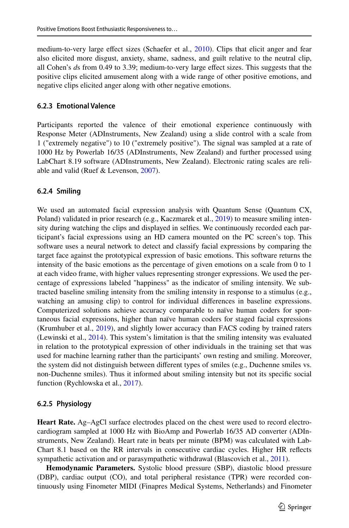medium-to-very large efect sizes (Schaefer et al., [2010\)](#page-18-8). Clips that elicit anger and fear also elicited more disgust, anxiety, shame, sadness, and guilt relative to the neutral clip, all Cohen's *d*s from 0.49 to 3.39; medium-to-very large efect sizes. This suggests that the positive clips elicited amusement along with a wide range of other positive emotions, and negative clips elicited anger along with other negative emotions.

#### **6.2.3 Emotional Valence**

Participants reported the valence of their emotional experience continuously with Response Meter (ADInstruments, New Zealand) using a slide control with a scale from 1 ("extremely negative") to 10 ("extremely positive"). The signal was sampled at a rate of 1000 Hz by Powerlab 16/35 (ADInstruments, New Zealand) and further processed using LabChart 8.19 software (ADInstruments, New Zealand). Electronic rating scales are reliable and valid (Ruef & Levenson, [2007](#page-17-16)).

## **6.2.4 Smiling**

We used an automated facial expression analysis with Quantum Sense (Quantum CX, Poland) validated in prior research (e.g., Kaczmarek et al., [2019](#page-16-14)) to measure smiling intensity during watching the clips and displayed in selfes. We continuously recorded each participant's facial expressions using an HD camera mounted on the PC screen's top. This software uses a neural network to detect and classify facial expressions by comparing the target face against the prototypical expression of basic emotions. This software returns the intensity of the basic emotions as the percentage of given emotions on a scale from 0 to 1 at each video frame, with higher values representing stronger expressions. We used the percentage of expressions labeled "happiness" as the indicator of smiling intensity. We subtracted baseline smiling intensity from the smiling intensity in response to a stimulus (e.g., watching an amusing clip) to control for individual diferences in baseline expressions. Computerized solutions achieve accuracy comparable to naïve human coders for spontaneous facial expressions, higher than naïve human coders for staged facial expressions (Krumhuber et al., [2019\)](#page-17-17), and slightly lower accuracy than FACS coding by trained raters (Lewinski et al., [2014](#page-17-18)). This system's limitation is that the smiling intensity was evaluated in relation to the prototypical expression of other individuals in the training set that was used for machine learning rather than the participants' own resting and smiling. Moreover, the system did not distinguish between diferent types of smiles (e.g., Duchenne smiles vs. non-Duchenne smiles). Thus it informed about smiling intensity but not its specifc social function (Rychlowska et al., [2017](#page-18-9)).

## **6.2.5 Physiology**

**Heart Rate.** Ag–AgCl surface electrodes placed on the chest were used to record electrocardiogram sampled at 1000 Hz with BioAmp and Powerlab 16/35 AD converter (ADInstruments, New Zealand). Heart rate in beats per minute (BPM) was calculated with Lab-Chart 8.1 based on the RR intervals in consecutive cardiac cycles. Higher HR refects sympathetic activation and or parasympathetic withdrawal (Blascovich et al., [2011\)](#page-15-8).

**Hemodynamic Parameters.** Systolic blood pressure (SBP), diastolic blood pressure (DBP), cardiac output (CO), and total peripheral resistance (TPR) were recorded continuously using Finometer MIDI (Finapres Medical Systems, Netherlands) and Finometer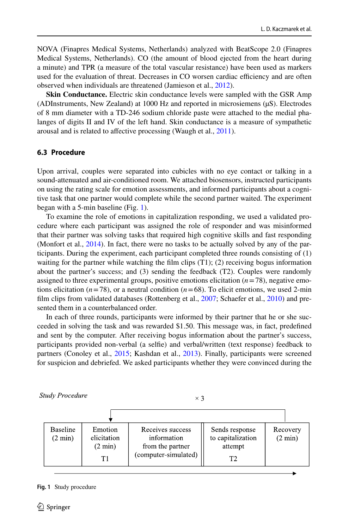NOVA (Finapres Medical Systems, Netherlands) analyzed with BeatScope 2.0 (Finapres Medical Systems, Netherlands). CO (the amount of blood ejected from the heart during a minute) and TPR (a measure of the total vascular resistance) have been used as markers used for the evaluation of threat. Decreases in CO worsen cardiac efficiency and are often observed when individuals are threatened (Jamieson et al., [2012\)](#page-16-15).

**Skin Conductance.** Electric skin conductance levels were sampled with the GSR Amp (ADInstruments, New Zealand) at 1000 Hz and reported in microsiemens (µS). Electrodes of 8 mm diameter with a TD-246 sodium chloride paste were attached to the medial phalanges of digits II and IV of the left hand. Skin conductance is a measure of sympathetic arousal and is related to affective processing (Waugh et al., [2011\)](#page-18-10).

## **6.3 Procedure**

Upon arrival, couples were separated into cubicles with no eye contact or talking in a sound-attenuated and air-conditioned room. We attached biosensors, instructed participants on using the rating scale for emotion assessments, and informed participants about a cognitive task that one partner would complete while the second partner waited. The experiment began with a 5-min baseline (Fig. [1\)](#page-7-0).

To examine the role of emotions in capitalization responding, we used a validated procedure where each participant was assigned the role of responder and was misinformed that their partner was solving tasks that required high cognitive skills and fast responding (Monfort et al., [2014](#page-17-5)). In fact, there were no tasks to be actually solved by any of the participants. During the experiment, each participant completed three rounds consisting of (1) waiting for the partner while watching the film clips  $(T1)$ ;  $(2)$  receiving bogus information about the partner's success; and (3) sending the feedback (T2). Couples were randomly assigned to three experimental groups, positive emotions elicitation  $(n=78)$ , negative emotions elicitation ( $n=78$ ), or a neutral condition ( $n=68$ ). To elicit emotions, we used 2-min film clips from validated databases (Rottenberg et al., [2007](#page-17-15); Schaefer et al., [2010](#page-18-8)) and presented them in a counterbalanced order.

In each of three rounds, participants were informed by their partner that he or she succeeded in solving the task and was rewarded \$1.50. This message was, in fact, predefned and sent by the computer. After receiving bogus information about the partner's success, participants provided non-verbal (a selfe) and verbal/written (text response) feedback to partners (Conoley et al., [2015](#page-15-3); Kashdan et al., [2013](#page-16-3)). Finally, participants were screened for suspicion and debriefed. We asked participants whether they were convinced during the

**Study Procedure** 

 $\times$  3



<span id="page-7-0"></span>**Fig. 1** Study procedure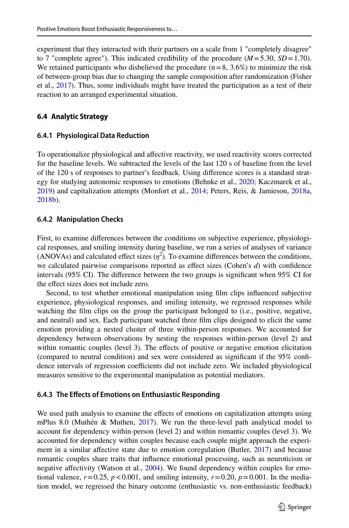experiment that they interacted with their partners on a scale from 1 "completely disagree" to 7 "complete agree"). This indicated credibility of the procedure  $(M=5.30, SD=1.70)$ . We retained participants who disbelieved the procedure  $(n=8, 3.6%)$  to minimize the risk of between-group bias due to changing the sample composition after randomization (Fisher et al., [2017\)](#page-16-16). Thus, some individuals might have treated the participation as a test of their reaction to an arranged experimental situation.

## **6.4 Analytic Strategy**

## **6.4.1 Physiological Data Reduction**

To operationalize physiological and afective reactivity, we used reactivity scores corrected for the baseline levels. We subtracted the levels of the last 120 s of baseline from the level of the 120 s of responses to partner's feedback. Using diference scores is a standard strat-egy for studying autonomic responses to emotions (Behnke et al., [2020](#page-15-14); Kaczmarek et al., [2019\)](#page-16-14) and capitalization attempts (Monfort et al., [2014;](#page-17-5) Peters, Reis, & Jamieson, [2018a](#page-17-1), [2018b\)](#page-17-2).

#### **6.4.2 Manipulation Checks**

First, to examine diferences between the conditions on subjective experience, physiological responses, and smiling intensity during baseline, we run a series of analyses of variance (ANOVAs) and calculated effect sizes  $(\eta^2)$ . To examine differences between the conditions, we calculated pairwise comparisons reported as efect sizes (Cohen's *d*) with confdence intervals (95% CI). The diference between the two groups is signifcant when 95% CI for the efect sizes does not include zero.

Second, to test whether emotional manipulation using flm clips infuenced subjective experience, physiological responses, and smiling intensity, we regressed responses while watching the flm clips on the group the participant belonged to (i.e., positive, negative, and neutral) and sex. Each participant watched three flm clips designed to elicit the same emotion providing a nested cluster of three within-person responses. We accounted for dependency between observations by nesting the responses within-person (level 2) and within romantic couples (level 3). The effects of positive or negative emotion elicitation (compared to neutral condition) and sex were considered as signifcant if the 95% confdence intervals of regression coefficients did not include zero. We included physiological measures sensitive to the experimental manipulation as potential mediators.

#### **6.4.3 The Efects of Emotions on Enthusiastic Responding**

We used path analysis to examine the effects of emotions on capitalization attempts using mPlus 8.0 (Muthén & Muthen,  $2017$ ). We run the three-level path analytical model to account for dependency within-person (level 2) and within romantic couples (level 3). We accounted for dependency within couples because each couple might approach the experi-ment in a similar affective state due to emotion coregulation (Butler, [2017\)](#page-15-11) and because romantic couples share traits that infuence emotional processing, such as neuroticism or negative affectivity (Watson et al., [2004\)](#page-18-7). We found dependency within couples for emotional valence,  $r=0.25$ ,  $p < 0.001$ , and smiling intensity,  $r=0.20$ ,  $p=0.001$ . In the mediation model, we regressed the binary outcome (enthusiastic vs. non-enthusiastic feedback)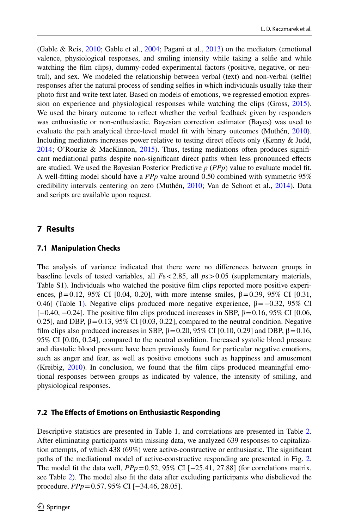(Gable & Reis, [2010;](#page-16-13) Gable et al., [2004](#page-16-0); Pagani et al., [2013](#page-17-4)) on the mediators (emotional valence, physiological responses, and smiling intensity while taking a selfe and while watching the flm clips), dummy-coded experimental factors (positive, negative, or neutral), and sex. We modeled the relationship between verbal (text) and non-verbal (selfe) responses after the natural process of sending selfes in which individuals usually take their photo frst and write text later. Based on models of emotions, we regressed emotion expression on experience and physiological responses while watching the clips (Gross, [2015](#page-16-17)). We used the binary outcome to refect whether the verbal feedback given by responders was enthusiastic or non-enthusiastic. Bayesian correction estimator (Bayes) was used to evaluate the path analytical three-level model ft with binary outcomes (Muthén, [2010](#page-17-20)). Including mediators increases power relative to testing direct efects only (Kenny & Judd, [2014;](#page-16-11) O'Rourke & MacKinnon, [2015](#page-17-12)). Thus, testing mediations often produces signifcant mediational paths despite non-signifcant direct paths when less pronounced efects are studied. We used the Bayesian Posterior Predictive *p* (*PPp*) value to evaluate model ft. A well-ftting model should have a *PPp* value around 0.50 combined with symmetric 95% credibility intervals centering on zero (Muthén, [2010;](#page-17-20) Van de Schoot et al., [2014\)](#page-18-11). Data and scripts are available upon request.

# **7 Results**

## **7.1 Manipulation Checks**

The analysis of variance indicated that there were no diferences between groups in baseline levels of tested variables, all *F*s<2.85, all *p*s>0.05 (supplementary materials, Table S1). Individuals who watched the positive flm clips reported more positive experiences,  $β = 0.12$ , 95% CI [0.04, 0.20], with more intense smiles,  $β = 0.39$ , 95% CI [0.31, 0.46] (Table 1[\).](#page-10-0) Negative clips produced more negative experience,  $β = -0.32$ , 95% CI  $[-0.40, -0.24]$ . The positive film clips produced increases in SBP,  $\beta = 0.16$ , 95% CI [0.06, 0.25], and DBP,  $\beta = 0.13$ , 95% CI [0.03, 0.22], compared to the neutral condition. Negative film clips also produced increases in SBP,  $\beta$  = 0.20, 95% CI [0.10, 0.29] and DBP,  $\beta$  = 0.16, 95% CI [0.06, 0.24], compared to the neutral condition. Increased systolic blood pressure and diastolic blood pressure have been previously found for particular negative emotions, such as anger and fear, as well as positive emotions such as happiness and amusement (Kreibig, [2010](#page-17-21)). In conclusion, we found that the flm clips produced meaningful emotional responses between groups as indicated by valence, the intensity of smiling, and physiological responses.

# **7.2 The Efects of Emotions on Enthusiastic Responding**

Descriptive statistics are presented in Table 1, and correlations are presented in Table [2](#page-11-0). After eliminating participants with missing data, we analyzed 639 responses to capitalization attempts, of which 438 (69%) were active-constructive or enthusiastic. The signifcant paths of the mediational model of active-constructive responding are presented in Fig. [2](#page-11-1). The model fit the data well,  $PPp = 0.52$ , 95% CI  $[-25.41, 27.88]$  (for correlations matrix, see Table [2](#page-11-0)). The model also ft the data after excluding participants who disbelieved the procedure, *PPp*=0.57, 95% CI [−34.46, 28.05].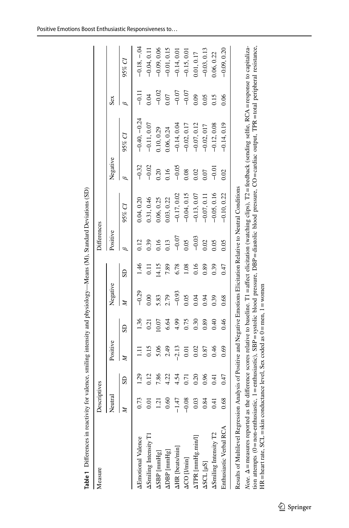<span id="page-10-0"></span>

| Measure                                                                                                                                                                                                                                                                                                                                                        | Descriptives |                |              |      |          |       | Differences |               |          |                |         |                |
|----------------------------------------------------------------------------------------------------------------------------------------------------------------------------------------------------------------------------------------------------------------------------------------------------------------------------------------------------------------|--------------|----------------|--------------|------|----------|-------|-------------|---------------|----------|----------------|---------|----------------|
|                                                                                                                                                                                                                                                                                                                                                                | Neutral      |                | Positive     |      | Negative |       | Positive    |               | Negative |                | Sex     |                |
|                                                                                                                                                                                                                                                                                                                                                                |              | SD             | $\mathbb{Z}$ | SD   | Þ        | SD    | Β           | 95% CI        | Β        | 95% Cl         |         | 95% Cl         |
| <b>AEmotional Valence</b>                                                                                                                                                                                                                                                                                                                                      | 0.73         | 39             |              | .36  | $-0.29$  | 971   | 0.12        | 0.04, 0.20    | $-0.32$  | $-0.40, -0.24$ |         | $-0.18, -0.04$ |
| ASmiling Intensity T1                                                                                                                                                                                                                                                                                                                                          | 0.01         | 0.12           | 0.15         | 0.21 | 0.00     | Ξ     | 0.39        | 0.31, 0.46    | $-0.02$  | $-0.11, 0.07$  | 0.04    | $-0.04, 0.11$  |
| ASBP [mmHg]                                                                                                                                                                                                                                                                                                                                                    | 1.21         | 7.86           | 5.06         | 0.07 | 5.83     | 14.15 | 0.16        | 0.06, 0.25    | 0.20     | 10, 0.29       | $-0.02$ | $-0.09, 0.06$  |
| $\triangle$ DBP [ $mm$ Hg]                                                                                                                                                                                                                                                                                                                                     | 0.60         | 4.22           | 2.49         | 6.64 | 2.79     | 7.89  | 1.13        | 0.03, 0.22    | 0.16     | 0.06, 0.24     | 0.07    | $-0.01, 0.15$  |
| <b>AHR</b> [beats/min]                                                                                                                                                                                                                                                                                                                                         |              | 4.54           | $-2.13$      | 4.99 | $-0.93$  | 6.78  | $-0.07$     | $-0.17,0.02$  | $-0.05$  | $-0.14, 0.04$  | $-0.07$ | $-0.14, 0.01$  |
| ACO [I/min]                                                                                                                                                                                                                                                                                                                                                    | ஜ            | 0.71           | 0.01         | 0.75 | 0.05     | 0.18  | 0.05        | $-0.04, 0.15$ | 0.08     | $-0.02, 0.17$  | $-0.07$ | $-0.15, 0.01$  |
| $\Delta \text{TPR}$ [mmHg.min/l]                                                                                                                                                                                                                                                                                                                               | 0.03         | 0.20           | 0.02         | 0.30 | 0.04     | 0.16  | $-0.03$     | $-0.13, 0.07$ | 0.02     | $-0.07, 0.12$  | 0.09    | 0.01, 0.17     |
| ASCL [µS]                                                                                                                                                                                                                                                                                                                                                      | 0.84         | 0.96           | 0.87         | 0.89 | 0.94     | 0.89  | 0.02        | $-0.07, 0.11$ | 0.07     | $-0.02, 017$   | 0.05    | $-0.03, 0.13$  |
| ASmiling Intensity T2                                                                                                                                                                                                                                                                                                                                          | 0.41         | $\overline{1}$ | 0.46         | 0.40 | 0.39     | 0.39  | 0.05        | $-0.05, 0.16$ | $-0.01$  | $-0.12, 0.08$  | 0.15    | 0.06, 0.22     |
| Enthusiastic Verbal RCA                                                                                                                                                                                                                                                                                                                                        | 0.68         | 0.47           | 0.69         | 0.46 | 0.68     | (1.0  | 0.05        | $-0.10, 0.22$ | 0.02     | $-0.14, 0.19$  | 0.06    | $-0.09, 0.20$  |
| Results of Multilevel Regression Analysis of Positive and Negative Emotions Elicitation Relative to Neutral Conditions                                                                                                                                                                                                                                         |              |                |              |      |          |       |             |               |          |                |         |                |
| Note. $\Delta$ = measures reported as the difference scores relative to baseline. T1 = affect elicitation (watching clips), T2 = feedback (sending selfic, RCA = response to capitaliza-<br>tion attempts (0=non-enfhusiastic, 1=enthusiastic), SBP=systolic blood pressure, DBP=diastolic blood pressure, CO=cardiac output, TPR=total peripheral resistance, |              |                |              |      |          |       |             |               |          |                |         |                |
| HR = heart rate, SCL = skin conductance level, Sex coded as $0 =$ men, $1 =$ women                                                                                                                                                                                                                                                                             |              |                |              |      |          |       |             |               |          |                |         |                |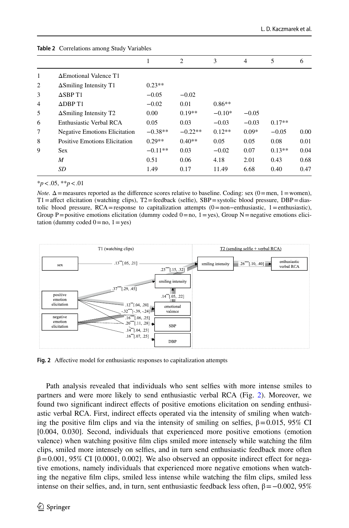|                | $\frac{1}{2}$ correlations among biase, rariables |           |                |          |         |          |      |  |  |
|----------------|---------------------------------------------------|-----------|----------------|----------|---------|----------|------|--|--|
|                |                                                   | 1         | $\overline{2}$ | 3        | 4       | 5        | 6    |  |  |
| 1              | ΔEmotional Valence T1                             |           |                |          |         |          |      |  |  |
| 2              | $\Delta$ Smiling Intensity T1                     | $0.23**$  |                |          |         |          |      |  |  |
| 3              | $\triangle$ SBP T1                                | $-0.05$   | $-0.02$        |          |         |          |      |  |  |
| $\overline{4}$ | $\triangle$ DBP T1                                | $-0.02$   | 0.01           | $0.86**$ |         |          |      |  |  |
| 5              | $\Delta$ Smiling Intensity T <sub>2</sub>         | 0.00      | $0.19**$       | $-0.10*$ | $-0.05$ |          |      |  |  |
| 6              | Enthusiastic Verbal RCA                           | 0.05      | 0.03           | $-0.03$  | $-0.03$ | $0.17**$ |      |  |  |
| 7              | <b>Negative Emotions Elicitation</b>              | $-0.38**$ | $-0.22**$      | $0.12**$ | $0.09*$ | $-0.05$  | 0.00 |  |  |
| 8              | <b>Positive Emotions Elicitation</b>              | $0.29**$  | $0.40**$       | 0.05     | 0.05    | 0.08     | 0.01 |  |  |
| 9              | <b>Sex</b>                                        | $-0.11**$ | 0.03           | $-0.02$  | 0.07    | $0.13**$ | 0.04 |  |  |
|                | M                                                 | 0.51      | 0.06           | 4.18     | 2.01    | 0.43     | 0.68 |  |  |
|                | SD                                                | 1.49      | 0.17           | 11.49    | 6.68    | 0.40     | 0.47 |  |  |
|                |                                                   |           |                |          |         |          |      |  |  |

<span id="page-11-0"></span>

\**p*<.05, \*\**p*<.01

*Note.*  $\Delta$  = measures reported as the difference scores relative to baseline. Coding: sex (0 = men, 1 = women),  $T1 =$ affect elicitation (watching clips),  $T2 =$ feedback (selfie), SBP=systolic blood pressure, DBP=diastolic blood pressure, RCA=response to capitalization attempts  $(0=non-enthusiastic, 1=enthusiastic)$ , Group P=positive emotions elicitation (dummy coded  $0=$  no,  $1=$  yes), Group N=negative emotions elicitation (dummy coded  $0 = no$ ,  $1 = yes$ )



<span id="page-11-1"></span>**Fig. 2** Afective model for enthusiastic responses to capitalization attempts

Path analysis revealed that individuals who sent selfes with more intense smiles to partners and were more likely to send enthusiastic verbal RCA (Fig. [2](#page-11-1)). Moreover, we found two signifcant indirect efects of positive emotions elicitation on sending enthusiastic verbal RCA. First, indirect efects operated via the intensity of smiling when watching the positive film clips and via the intensity of smiling on selfies,  $\beta = 0.015$ , 95% CI [0.004, 0.030]. Second, individuals that experienced more positive emotions (emotion valence) when watching positive flm clips smiled more intensely while watching the flm clips, smiled more intensely on selfes, and in turn send enthusiastic feedback more often  $\beta$ =0.001, 95% CI [0.0001, 0.002]. We also observed an opposite indirect effect for negative emotions, namely individuals that experienced more negative emotions when watching the negative flm clips, smiled less intense while watching the flm clips, smiled less intense on their selfies, and, in turn, sent enthusiastic feedback less often,  $β = -0.002$ , 95%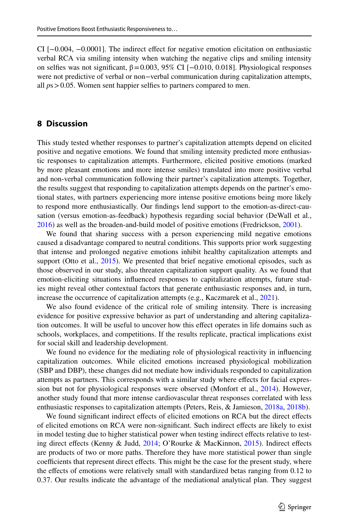CI [−0.004, −0.0001]. The indirect efect for negative emotion elicitation on enthusiastic verbal RCA via smiling intensity when watching the negative clips and smiling intensity on selfies was not significant,  $\beta = 0.003$ , 95% CI [-0.010, 0.018]. Physiological responses were not predictive of verbal or non−verbal communication during capitalization attempts, all *p*s>0.05. Women sent happier selfes to partners compared to men.

# **8 Discussion**

This study tested whether responses to partner's capitalization attempts depend on elicited positive and negative emotions. We found that smiling intensity predicted more enthusiastic responses to capitalization attempts. Furthermore, elicited positive emotions (marked by more pleasant emotions and more intense smiles) translated into more positive verbal and non-verbal communication following their partner's capitalization attempts. Together, the results suggest that responding to capitalization attempts depends on the partner's emotional states, with partners experiencing more intense positive emotions being more likely to respond more enthusiastically. Our fndings lend support to the emotion-as-direct-causation (versus emotion-as-feedback) hypothesis regarding social behavior (DeWall et al., [2016\)](#page-15-4) as well as the broaden-and-build model of positive emotions (Fredrickson, [2001](#page-16-6)).

We found that sharing success with a person experiencing mild negative emotions caused a disadvantage compared to neutral conditions. This supports prior work suggesting that intense and prolonged negative emotions inhibit healthy capitalization attempts and support (Otto et al., [2015](#page-17-7)). We presented that brief negative emotional episodes, such as those observed in our study, also threaten capitalization support quality. As we found that emotion-eliciting situations infuenced responses to capitalization attempts, future studies might reveal other contextual factors that generate enthusiastic responses and, in turn, increase the occurrence of capitalization attempts (e.g., Kaczmarek et al., [2021](#page-16-5)).

We also found evidence of the critical role of smiling intensity. There is increasing evidence for positive expressive behavior as part of understanding and altering capitalization outcomes. It will be useful to uncover how this efect operates in life domains such as schools, workplaces, and competitions. If the results replicate, practical implications exist for social skill and leadership development.

We found no evidence for the mediating role of physiological reactivity in infuencing capitalization outcomes. While elicited emotions increased physiological mobilization (SBP and DBP), these changes did not mediate how individuals responded to capitalization attempts as partners. This corresponds with a similar study where efects for facial expression but not for physiological responses were observed (Monfort et al., [2014](#page-17-5)). However, another study found that more intense cardiovascular threat responses correlated with less enthusiastic responses to capitalization attempts (Peters, Reis, & Jamieson, [2018a,](#page-17-1) [2018b](#page-17-2)).

We found signifcant indirect efects of elicited emotions on RCA but the direct efects of elicited emotions on RCA were non-signifcant. Such indirect efects are likely to exist in model testing due to higher statistical power when testing indirect efects relative to test-ing direct effects (Kenny & Judd, [2014](#page-16-11); O'Rourke & MacKinnon, [2015](#page-17-12)). Indirect effects are products of two or more paths. Therefore they have more statistical power than single coefficients that represent direct effects. This might be the case for the present study, where the effects of emotions were relatively small with standardized betas ranging from 0.12 to 0.37. Our results indicate the advantage of the mediational analytical plan. They suggest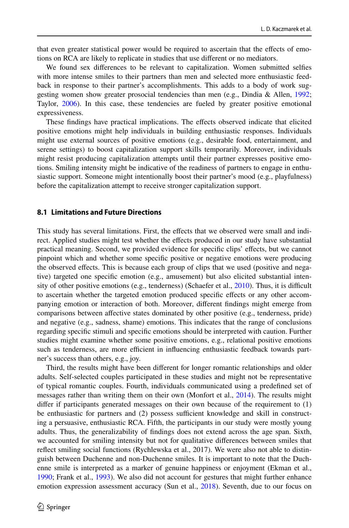that even greater statistical power would be required to ascertain that the efects of emotions on RCA are likely to replicate in studies that use diferent or no mediators.

We found sex diferences to be relevant to capitalization. Women submitted selfes with more intense smiles to their partners than men and selected more enthusiastic feedback in response to their partner's accomplishments. This adds to a body of work suggesting women show greater prosocial tendencies than men (e.g., Dindia & Allen, [1992;](#page-15-15) Taylor, [2006](#page-18-12)). In this case, these tendencies are fueled by greater positive emotional expressiveness.

These fndings have practical implications. The efects observed indicate that elicited positive emotions might help individuals in building enthusiastic responses. Individuals might use external sources of positive emotions (e.g., desirable food, entertainment, and serene settings) to boost capitalization support skills temporarily. Moreover, individuals might resist producing capitalization attempts until their partner expresses positive emotions. Smiling intensity might be indicative of the readiness of partners to engage in enthusiastic support. Someone might intentionally boost their partner's mood (e.g., playfulness) before the capitalization attempt to receive stronger capitalization support.

#### **8.1 Limitations and Future Directions**

This study has several limitations. First, the efects that we observed were small and indirect. Applied studies might test whether the efects produced in our study have substantial practical meaning. Second, we provided evidence for specifc clips' efects, but we cannot pinpoint which and whether some specifc positive or negative emotions were producing the observed efects. This is because each group of clips that we used (positive and negative) targeted one specifc emotion (e.g., amusement) but also elicited substantial intensity of other positive emotions (e.g., tenderness) (Schaefer et al.,  $2010$ ). Thus, it is difficult to ascertain whether the targeted emotion produced specifc efects or any other accompanying emotion or interaction of both. Moreover, diferent fndings might emerge from comparisons between afective states dominated by other positive (e.g., tenderness, pride) and negative (e.g., sadness, shame) emotions. This indicates that the range of conclusions regarding specifc stimuli and specifc emotions should be interpreted with caution. Further studies might examine whether some positive emotions, e.g., relational positive emotions such as tenderness, are more efficient in influencing enthusiastic feedback towards partner's success than others, e.g., joy.

Third, the results might have been diferent for longer romantic relationships and older adults. Self-selected couples participated in these studies and might not be representative of typical romantic couples. Fourth, individuals communicated using a predefned set of messages rather than writing them on their own (Monfort et al., [2014](#page-17-5)). The results might difer if participants generated messages on their own because of the requirement to (1) be enthusiastic for partners and (2) possess sufficient knowledge and skill in constructing a persuasive, enthusiastic RCA. Fifth, the participants in our study were mostly young adults. Thus, the generalizability of fndings does not extend across the age span. Sixth, we accounted for smiling intensity but not for qualitative diferences between smiles that refect smiling social functions (Rychlewska et al., 2017). We were also not able to distinguish between Duchenne and non-Duchenne smiles. It is important to note that the Duchenne smile is interpreted as a marker of genuine happiness or enjoyment (Ekman et al., [1990;](#page-15-16) Frank et al., [1993](#page-16-18)). We also did not account for gestures that might further enhance emotion expression assessment accuracy (Sun et al., [2018\)](#page-18-13). Seventh, due to our focus on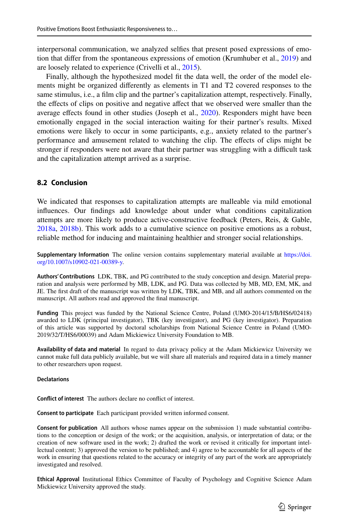interpersonal communication, we analyzed selfes that present posed expressions of emotion that difer from the spontaneous expressions of emotion (Krumhuber et al., [2019](#page-17-17)) and are loosely related to experience (Crivelli et al., [2015](#page-15-13)).

Finally, although the hypothesized model fit the data well, the order of the model elements might be organized diferently as elements in T1 and T2 covered responses to the same stimulus, i.e., a flm clip and the partner's capitalization attempt, respectively. Finally, the efects of clips on positive and negative afect that we observed were smaller than the average efects found in other studies (Joseph et al., [2020\)](#page-16-19). Responders might have been emotionally engaged in the social interaction waiting for their partner's results. Mixed emotions were likely to occur in some participants, e.g., anxiety related to the partner's performance and amusement related to watching the clip. The efects of clips might be stronger if responders were not aware that their partner was struggling with a difficult task and the capitalization attempt arrived as a surprise.

## **8.2 Conclusion**

We indicated that responses to capitalization attempts are malleable via mild emotional infuences. Our fndings add knowledge about under what conditions capitalization attempts are more likely to produce active-constructive feedback (Peters, Reis, & Gable, [2018a,](#page-17-1) [2018b](#page-17-2)). This work adds to a cumulative science on positive emotions as a robust, reliable method for inducing and maintaining healthier and stronger social relationships.

**Supplementary Information** The online version contains supplementary material available at [https://doi.](https://doi.org/10.1007/s10902-021-00389-y) [org/10.1007/s10902-021-00389-y](https://doi.org/10.1007/s10902-021-00389-y).

**Authors' Contributions** LDK, TBK, and PG contributed to the study conception and design. Material preparation and analysis were performed by MB, LDK, and PG. Data was collected by MB, MD, EM, MK, and JE. The frst draft of the manuscript was written by LDK, TBK, and MB, and all authors commented on the manuscript. All authors read and approved the fnal manuscript.

**Funding** This project was funded by the National Science Centre, Poland (UMO-2014/15/B/HS6/02418) awarded to LDK (principal investigator), TBK (key investigator), and PG (key investigator). Preparation of this article was supported by doctoral scholarships from National Science Centre in Poland (UMO-2019/32/T/HS6/00039) and Adam Mickiewicz University Foundation to MB.

**Availability of data and material** In regard to data privacy policy at the Adam Mickiewicz University we cannot make full data publicly available, but we will share all materials and required data in a timely manner to other researchers upon request.

#### **Declatarions**

**Confict of interest** The authors declare no confict of interest.

**Consent to participate** Each participant provided written informed consent.

**Consent for publication** All authors whose names appear on the submission 1) made substantial contributions to the conception or design of the work; or the acquisition, analysis, or interpretation of data; or the creation of new software used in the work; 2) drafted the work or revised it critically for important intellectual content; 3) approved the version to be published; and 4) agree to be accountable for all aspects of the work in ensuring that questions related to the accuracy or integrity of any part of the work are appropriately investigated and resolved.

**Ethical Approval** Institutional Ethics Committee of Faculty of Psychology and Cognitive Science Adam Mickiewicz University approved the study.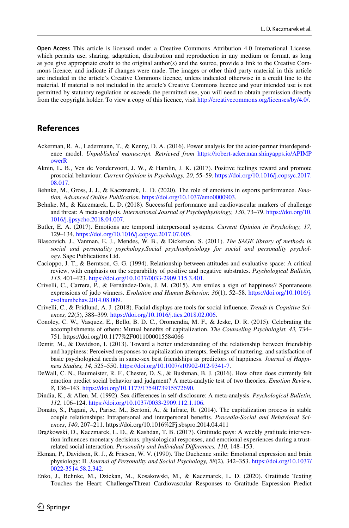**Open Access** This article is licensed under a Creative Commons Attribution 4.0 International License, which permits use, sharing, adaptation, distribution and reproduction in any medium or format, as long as you give appropriate credit to the original author(s) and the source, provide a link to the Creative Commons licence, and indicate if changes were made. The images or other third party material in this article are included in the article's Creative Commons licence, unless indicated otherwise in a credit line to the material. If material is not included in the article's Creative Commons licence and your intended use is not permitted by statutory regulation or exceeds the permitted use, you will need to obtain permission directly from the copyright holder. To view a copy of this licence, visit [http://creativecommons.org/licenses/by/4.0/.](http://creativecommons.org/licenses/by/4.0/)

# **References**

- <span id="page-15-12"></span>Ackerman, R. A., Ledermann, T., & Kenny, D. A. (2016). Power analysis for the actor-partner interdependence model. *Unpublished manuscript. Retrieved from* [https://robert-ackerman.shinyapps.io/APIMP](https://robert-ackerman.shinyapps.io/APIMPowerR) [owerR](https://robert-ackerman.shinyapps.io/APIMPowerR)
- <span id="page-15-5"></span>Aknin, L. B., Ven de Vondervoort, J. W., & Hamlin, J. K. (2017). Positive feelings reward and promote prosocial behaviour. *Current Opinion in Psychology, 20*, 55–59. [https://doi.org/10.1016/j.copsyc.2017.](https://doi.org/10.1016/j.copsyc.2017.08.017) [08.017.](https://doi.org/10.1016/j.copsyc.2017.08.017)
- <span id="page-15-14"></span>Behnke, M., Gross, J. J., & Kaczmarek, L. D. (2020). The role of emotions in esports performance. *Emotion, Advanced Online Publication.* [https://doi.org/10.1037/emo0000903.](https://doi.org/10.1037/emo0000903)
- <span id="page-15-9"></span>Behnke, M., & Kaczmarek, L. D. (2018). Successful performance and cardiovascular markers of challenge and threat: A meta-analysis. *International Journal of Psychophysiology, 130*, 73–79. [https://doi.org/10.](https://doi.org/10.1016/j.ijpsycho.2018.04.007) [1016/j.ijpsycho.2018.04.007.](https://doi.org/10.1016/j.ijpsycho.2018.04.007)
- <span id="page-15-11"></span>Butler, E. A. (2017). Emotions are temporal interpersonal systems. *Current Opinion in Psychology, 17*, 129–134. [https://doi.org/10.1016/j.copsyc.2017.07.005.](https://doi.org/10.1016/j.copsyc.2017.07.005)
- <span id="page-15-8"></span>Blascovich, J., Vanman, E. J., Mendes, W. B., & Dickerson, S. (2011). *The SAGE library of methods in social and personality psychology.Social psychophysiology for social and personality psychology.* Sage Publications Ltd.
- <span id="page-15-6"></span>Cacioppo, J. T., & Berntson, G. G. (1994). Relationship between attitudes and evaluative space: A critical review, with emphasis on the separability of positive and negative substrates. *Psychological Bulletin, 115*, 401–423. [https://doi.org/10.1037/0033-2909.115.3.401.](https://doi.org/10.1037/0033-2909.115.3.401)
- <span id="page-15-13"></span>Crivelli, C., Carrera, P., & Fernández-Dols, J. M. (2015). Are smiles a sign of happiness? Spontaneous expressions of judo winners. *Evolution and Human Behavior, 36*(1), 52–58. [https://doi.org/10.1016/j.](https://doi.org/10.1016/j.evolhumbehav.2014.08.009) [evolhumbehav.2014.08.009.](https://doi.org/10.1016/j.evolhumbehav.2014.08.009)
- <span id="page-15-10"></span>Crivelli, C., & Fridlund, A. J. (2018). Facial displays are tools for social infuence. *Trends in Cognitive Sciences, 22*(5), 388–399. [https://doi.org/10.1016/j.tics.2018.02.006.](https://doi.org/10.1016/j.tics.2018.02.006)
- <span id="page-15-3"></span>Conoley, C. W., Vasquez, E., Bello, B. D. C., Oromendia, M. F., & Jeske, D. R. (2015). Celebrating the accomplishments of others: Mutual benefts of capitalization. *The Counseling Psychologist. 43,* 734– 751. https://doi.org/10.1177%2F0011000015584066
- <span id="page-15-1"></span>Demir, M., & Davidson, I. (2013). Toward a better understanding of the relationship between friendship and happiness: Perceived responses to capitalization attempts, feelings of mattering, and satisfaction of basic psychological needs in same-sex best friendships as predictors of happiness. *Journal of Happiness Studies, 14*, 525–550. <https://doi.org/10.1007/s10902-012-9341-7>.
- <span id="page-15-4"></span>DeWall, C. N., Baumeister, R. F., Chester, D. S., & Bushman, B. J. (2016). How often does currently felt emotion predict social behavior and judgment? A meta-analytic test of two theories. *Emotion Review, 8*, 136–143. <https://doi.org/10.1177/1754073915572690>.
- <span id="page-15-15"></span>Dindia, K., & Allen, M. (1992). Sex diferences in self-disclosure: A meta-analysis. *Psychological Bulletin, 112*, 106–124. [https://doi.org/10.1037/0033-2909.112.1.106.](https://doi.org/10.1037/0033-2909.112.1.106)
- <span id="page-15-2"></span>Donato, S., Pagani, A., Parise, M., Bertoni, A., & Iafrate, R. (2014). The capitalization process in stable couple relationships: Intrapersonal and interpersonal benefts. *Procedia-Social and Behavioral Sciences*, *140*, 207–211. https://doi.org/10.1016%2Fj.sbspro.2014.04.411
- <span id="page-15-7"></span>Drążkowski, D., Kaczmarek, L. D., & Kashdan, T. B. (2017). Gratitude pays: A weekly gratitude intervention infuences monetary decisions, physiological responses, and emotional experiences during a trustrelated social interaction. *Personality and Individual Diferences, 110*, 148–153.
- <span id="page-15-16"></span>Ekman, P., Davidson, R. J., & Friesen, W. V. (1990). The Duchenne smile: Emotional expression and brain physiology: II. *Journal of Personality and Social Psychology, 58*(2), 342–353. [https://doi.org/10.1037/](https://doi.org/10.1037/0022-3514.58.2.342) [0022-3514.58.2.342](https://doi.org/10.1037/0022-3514.58.2.342).
- <span id="page-15-0"></span>Enko, J., Behnke, M., Dziekan, M., Kosakowski, M., & Kaczmarek, L. D. (2020). Gratitude Texting Touches the Heart: Challenge/Threat Cardiovascular Responses to Gratitude Expression Predict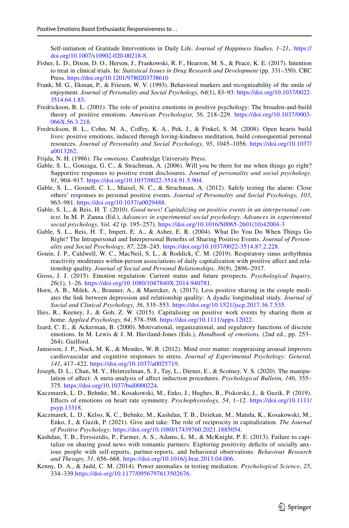Self-initiation of Gratitude Interventions in Daily Life. *Journal of Happiness Studies, 1–21*,. [https://](https://doi.org/10.1007/s10902-020-00218-8) [doi.org/10.1007/s10902-020-00218-8](https://doi.org/10.1007/s10902-020-00218-8).

- <span id="page-16-16"></span>Fisher, L. D., Dixon, D. O., Herson, J., Frankowski, R. F., Hearron, M. S., & Peace, K. E. (2017). Intention to treat in clinical trials. In: *Statistical Issues in Drug Research and Development* (pp. 331–350). CRC Press. <https://doi.org/10.1201/9780203738610>
- <span id="page-16-18"></span>Frank, M. G., Ekman, P., & Friesen, W. V. (1993). Behavioral markers and recognizability of the smile of enjoyment. *Journal of Personality and Social Psychology, 64*(1), 83–93. [https://doi.org/10.1037/0022-](https://doi.org/10.1037/0022-3514.64.1.83) [3514.64.1.83.](https://doi.org/10.1037/0022-3514.64.1.83)
- <span id="page-16-6"></span>Fredrickson, B. L. (2001). The role of positive emotions in positive psychology: The broaden-and-build theory of positive emotions. *American Psychologist, 56*, 218–229. [https://doi.org/10.1037/0003-](https://doi.org/10.1037/0003-066X.56.3.218) [066X.56.3.218](https://doi.org/10.1037/0003-066X.56.3.218).
- <span id="page-16-12"></span>Fredrickson, B. L., Cohn, M. A., Coffey, K. A., Pek, J., & Finkel, S. M. (2008). Open hearts build lives: positive emotions, induced through loving-kindness meditation, build consequential personal resources. *Journal of Personality and Social Psychology, 95*, 1045–1056. [https://doi.org/10.1037/](https://doi.org/10.1037/a0013262) [a0013262](https://doi.org/10.1037/a0013262).
- <span id="page-16-7"></span>Frijda, N. H. (1986). *The emotions*. Cambridge University Press.
- <span id="page-16-1"></span>Gable, S. L., Gonzaga, G. C., & Strachman, A. (2006). Will you be there for me when things go right? Supportive responses to positive event disclosures. *Journal of personality and social psychology, 91*, 904–917.<https://doi.org/10.1037/0022-3514.91.5.904>.
- <span id="page-16-2"></span>Gable, S. L., Gosnell, C. L., Maisel, N. C., & Strachman, A. (2012). Safely testing the alarm: Close others' responses to personal positive events. *Journal of Personality and Social Psychology, 103*, 963–981. <https://doi.org/10.1037/a0029488>.
- <span id="page-16-13"></span>Gable, S. L., & Reis, H. T. (2010). *Good news! Capitalizing on positive events in an interpersonal context.* In M. P. Zanna (Ed.), *Advances in experimental social psychology. Advances in experimental social psychology, Vol. 42* (p. 195–257). [https://doi.org/10.1016/S0065-2601\(10\)42004-3](https://doi.org/10.1016/S0065-2601(10)42004-3)
- <span id="page-16-0"></span>Gable, S. L., Reis, H. T., Impett, E. A., & Asher, E. R. (2004). What Do You Do When Things Go Right? The Intrapersonal and Interpersonal Benefts of Sharing Positive Events. *Journal of Personality and Social Psychology, 87*, 228–245.<https://doi.org/10.1037/0022-3514.87.2.228>.
- <span id="page-16-10"></span>Gouin, J. P., Caldwell, W. C., MacNeil, S. L., & Roddick, C. M. (2019). Respiratory sinus arrhythmia reactivity moderates within-person associations of daily capitalization with positive afect and relationship quality. *Journal of Social and Personal Relationships, 36*(9), 2896–2917.
- <span id="page-16-17"></span>Gross, J. J. (2015). Emotion regulation: Current status and future prospects. *Psychological Inquiry, 26*(1), 1–26. [https://doi.org/10.1080/1047840X.2014.940781.](https://doi.org/10.1080/1047840X.2014.940781)
- <span id="page-16-4"></span>Horn, A. B., Milek, A., Brauner, A., & Maercker, A. (2017). Less positive sharing in the couple mediates the link between depression and relationship quality: A dyadic longitudinal study. *Journal of Social and Clinical Psychology, 36*, 535–553.<https://doi.org/10.1521/jscp.2017.36.7.535>.
- <span id="page-16-9"></span>Ilies, R., Keeney, J., & Goh, Z. W. (2015). Capitalising on positive work events by sharing them at home. *Applied Psychology, 64*, 578–598.<https://doi.org/10.1111/apps.12022>.
- <span id="page-16-8"></span>Izard, C. E., & Ackerman, B. (2000). Motivational, organizational, and regulatory functions of discrete emotions. In M. Lewis & J. M. Haviland-Jones (Eds.), *Handbook of emotions.* (2nd ed., pp. 253– 264). Guilford.
- <span id="page-16-15"></span>Jamieson, J. P., Nock, M. K., & Mendes, W. B. (2012). Mind over matter: reappraising arousal improves cardiovascular and cognitive responses to stress. *Journal of Experimental Psychology: General, 141*, 417–422. [https://doi.org/10.1037/a0025719.](https://doi.org/10.1037/a0025719)
- <span id="page-16-19"></span>Joseph, D. L., Chan, M. Y., Heintzelman, S. J., Tay, L., Diener, E., & Scotney, V. S. (2020). The manipulation of afect: A meta-analysis of afect induction procedures. *Psychological Bulletin, 146*, 355– 375. [https://doi.org/10.1037/bul0000224.](https://doi.org/10.1037/bul0000224)
- <span id="page-16-14"></span>Kaczmarek, L. D., Behnke, M., Kosakowski, M., Enko, J., Hughes, B., Piskorski, J., & Guzik, P. (2019). Efects of emotions on heart rate symmetry. *Psychophysiology, 54*, 1–12. [https://doi.org/10.1111/](https://doi.org/10.1111/psyp.13318) [psyp.13318](https://doi.org/10.1111/psyp.13318).
- <span id="page-16-5"></span>Kaczmarek, L. D., Kelso, K. C., Behnke, M., Kashdan, T. B., Dziekan, M., Matuła, K., Kosakowski, M., Enko, J., & Guzik, P. (2021). Give and take: The role of reciprocity in capitalization. *The Journal of Positive Psychology*. <https://doi.org/10.1080/17439760.2021.1885054>.
- <span id="page-16-3"></span>Kashdan, T. B., Ferssizidis, P., Farmer, A. S., Adams, L. M., & McKnight, P. E. (2013). Failure to capitalize on sharing good news with romantic partners: Exploring positivity defcits of socially anxious people with self-reports, partner-reports, and behavioral observations. *Behaviour Research and Therapy, 51*, 656–668. [https://doi.org/10.1016/j.brat.2013.04.006.](https://doi.org/10.1016/j.brat.2013.04.006)
- <span id="page-16-11"></span>Kenny, D. A., & Judd, C. M. (2014). Power anomalies in testing mediation. *Psychological Science*, *25*, 334–339.[https://doi.org/10.1177/0956797613502676.](https://doi.org/10.1177/0956797613502676)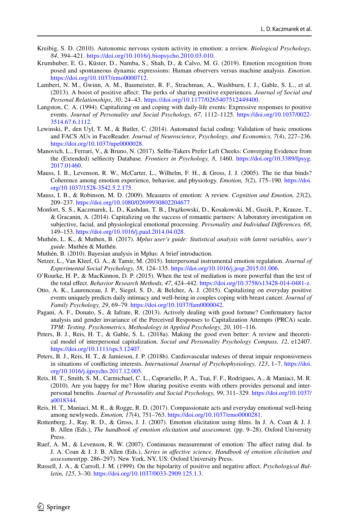- <span id="page-17-21"></span>Kreibig, S. D. (2010). Autonomic nervous system activity in emotion: a review. *Biological Psychology, 84*, 394–421. [https://doi.org/10.1016/j.biopsycho.2010.03.010.](https://doi.org/10.1016/j.biopsycho.2010.03.010)
- <span id="page-17-17"></span>Krumhuber, E. G., Küster, D., Namba, S., Shah, D., & Calvo, M. G. (2019). Emotion recognition from posed and spontaneous dynamic expressions: Human observers versus machine analysis. *Emotion*. [https://doi.org/10.1037/emo0000712.](https://doi.org/10.1037/emo0000712)
- <span id="page-17-6"></span>Lambert, N. M., Gwinn, A. M., Baumeister, R. F., Strachman, A., Washburn, I. J., Gable, S. L., et al. (2013). A boost of positive afect: The perks of sharing positive experiences. *Journal of Social and Personal Relationships*, *30*, 24–43.<https://doi.org/10.1177/0265407512449400>.
- <span id="page-17-0"></span>Langston, C. A. (1994). Capitalizing on and coping with daily-life events: Expressive responses to positive events. *Journal of Personality and Social Psychology, 67*, 1112–1125. [https://doi.org/10.1037/0022-](https://doi.org/10.1037/0022-3514.67.6.1112) [3514.67.6.1112.](https://doi.org/10.1037/0022-3514.67.6.1112)
- <span id="page-17-18"></span>Lewinski, P., den Uyl, T. M., & Butler, C. (2014). Automated facial coding: Validation of basic emotions and FACS AUs in FaceReader. *Journal of Neuroscience, Psychology, and Economics, 7*(4), 227–236. [https://doi.org/10.1037/npe0000028.](https://doi.org/10.1037/npe0000028)
- <span id="page-17-13"></span>Manovich, L., Ferrari, V., & Bruno, N. (2017). Selfe-Takers Prefer Left Cheeks: Converging Evidence from the (Extended) selfecity Database. *Frontiers in Psychology, 8*, 1460. [https://doi.org/10.3389/fpsyg.](https://doi.org/10.3389/fpsyg.2017.01460) [2017.01460.](https://doi.org/10.3389/fpsyg.2017.01460)
- <span id="page-17-3"></span>Mauss, I. B., Levenson, R. W., McCarter, L., Wilhelm, F. H., & Gross, J. J. (2005). The tie that binds? Coherence among emotion experience, behavior, and physiology. *Emotion, 5*(2), 175–190. [https://doi.](https://doi.org/10.1037/1528-3542.5.2.175) [org/10.1037/1528-3542.5.2.175](https://doi.org/10.1037/1528-3542.5.2.175).
- <span id="page-17-11"></span>Mauss, I. B., & Robinson, M. D. (2009). Measures of emotion: A review. *Cognition and Emotion, 23*(2), 209–237. <https://doi.org/10.1080/02699930802204677>.
- <span id="page-17-5"></span>Monfort, S. S., Kaczmarek, L. D., Kashdan, T. B., Drążkowski, D., Kosakowski, M., Guzik, P., Krauze, T., & Gracanin, A. (2014). Capitalizing on the success of romantic partners: A laboratory investigation on subjective, facial, and physiological emotional processing. *Personality and Individual Diferences, 68*, 149–153. <https://doi.org/10.1016/j.paid.2014.04.028>.
- <span id="page-17-19"></span>Muthén, L. K., & Muthen, B. (2017). *Mplus user's guide: Statistical analysis with latent variables, user's guide*. Muthén & Muthén.
- <span id="page-17-20"></span>Muthén, B. (2010). Bayesian analysis in Mplus: A brief introduction.
- <span id="page-17-9"></span>Netzer, L., Van Kleef, G. A., & Tamir, M. (2015). Interpersonal instrumental emotion regulation. *Journal of Experimental Social Psychology, 58*, 124–135. <https://doi.org/10.1016/j.jesp.2015.01.006>.
- <span id="page-17-12"></span>O'Rourke, H. P., & MacKinnon, D. P. (2015). When the test of mediation is more powerful than the test of the total efect. *Behavior Research Methods, 47*, 424–442. [https://doi.org/10.3758/s13428-014-0481-z.](https://doi.org/10.3758/s13428-014-0481-z)
- <span id="page-17-7"></span>Otto, A. K., Laurenceau, J. P., Siegel, S. D., & Belcher, A. J. (2015). Capitalizing on everyday positive events uniquely predicts daily intimacy and well-being in couples coping with breast cancer. *Journal of Family Psychology, 29*, 69–79.<https://doi.org/10.1037/fam0000042>.
- <span id="page-17-4"></span>Pagani, A. F., Donato, S., & Iafrate, R. (2013). Actively dealing with good fortune? Confrmatory factor analysis and gender invariance of the Perceived Responses to Capitalization Attempts (PRCA) scale. *TPM: Testing*. *Psychometrics, Methodology in Applied Psychology, 20*, 101–116.
- <span id="page-17-1"></span>Peters, B. J., Reis, H. T., & Gable, S. L. (2018a). Making the good even better: A review and theoretical model of interpersonal capitalization. *Social and Personality Psychology Compass, 12*, e12407. [https://doi.org/10.1111/spc3.12407.](https://doi.org/10.1111/spc3.12407)
- <span id="page-17-2"></span>Peters, B. J., Reis, H. T., & Jamieson, J. P. (2018b). Cardiovascular indexes of threat impair responsiveness in situations of conficting interests. *International Journal of Psychophysiology, 123*, 1–7. [https://doi.](https://doi.org/10.1016/j.ijpsycho.2017.12.005) [org/10.1016/j.ijpsycho.2017.12.005.](https://doi.org/10.1016/j.ijpsycho.2017.12.005)
- <span id="page-17-14"></span>Reis, H. T., Smith, S. M., Carmichael, C. L., Caprariello, P. A., Tsai, F. F., Rodrigues, A., & Maniaci, M. R. (2010). Are you happy for me? How sharing positive events with others provides personal and interpersonal benefts. *Journal of Personality and Social Psychology, 99*, 311–329. [https://doi.org/10.1037/](https://doi.org/10.1037/a0018344) [a0018344](https://doi.org/10.1037/a0018344).
- <span id="page-17-8"></span>Reis, H. T., Maniaci, M. R., & Rogge, R. D. (2017). Compassionate acts and everyday emotional well-being among newlyweds. *Emotion, 17*(4), 751–763.<https://doi.org/10.1037/emo0000281>.
- <span id="page-17-15"></span>Rottenberg, J., Ray, R. D., & Gross, J. J. (2007). Emotion elicitation using flms. In J. A. Coan & J. J. B. Allen (Eds.), *The handbook of emotion elicitation and assessment.* (pp. 9–28). Oxford University Press.
- <span id="page-17-16"></span>Ruef, A. M., & Levenson, R. W. (2007). Continuous measurement of emotion: The afect rating dial. In J. A. Coan & J. J. B. Allen (Eds.), *Series in afective science. Handbook of emotion elicitation and assessment*(pp. 286–297). New York, NY, US: Oxford University Press.
- <span id="page-17-10"></span>Russell, J. A., & Carroll, J. M. (1999). On the bipolarity of positive and negative afect. *Psychological Bulletin, 125*, 3–30. [https://doi.org/10.1037/0033-2909.125.1.3.](https://doi.org/10.1037/0033-2909.125.1.3)